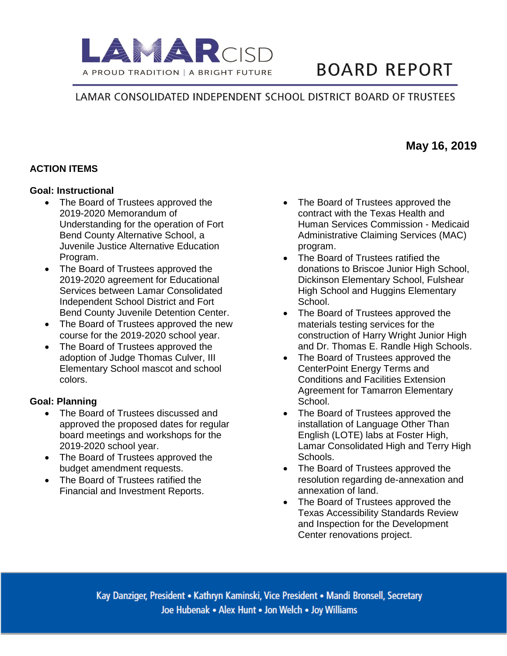

# **BOARD REPORT**

## LAMAR CONSOLIDATED INDEPENDENT SCHOOL DISTRICT BOARD OF TRUSTEES

## **ACTION ITEMS**

#### **Goal: Instructional**

- The Board of Trustees approved the 2019-2020 Memorandum of Understanding for the operation of Fort Bend County Alternative School, a Juvenile Justice Alternative Education Program.
- The Board of Trustees approved the 2019-2020 agreement for Educational Services between Lamar Consolidated Independent School District and Fort Bend County Juvenile Detention Center.
- The Board of Trustees approved the new course for the 2019-2020 school year.
- The Board of Trustees approved the adoption of Judge Thomas Culver, III Elementary School mascot and school colors.

### **Goal: Planning**

- The Board of Trustees discussed and approved the proposed dates for regular board meetings and workshops for the 2019-2020 school year.
- The Board of Trustees approved the budget amendment requests.
- The Board of Trustees ratified the Financial and Investment Reports.
- The Board of Trustees approved the contract with the Texas Health and Human Services Commission - Medicaid Administrative Claiming Services (MAC) program.
- The Board of Trustees ratified the donations to Briscoe Junior High School, Dickinson Elementary School, Fulshear High School and Huggins Elementary School.
- The Board of Trustees approved the materials testing services for the construction of Harry Wright Junior High and Dr. Thomas E. Randle High Schools.
- The Board of Trustees approved the CenterPoint Energy Terms and Conditions and Facilities Extension Agreement for Tamarron Elementary School.
- The Board of Trustees approved the installation of Language Other Than English (LOTE) labs at Foster High, Lamar Consolidated High and Terry High Schools.
- The Board of Trustees approved the resolution regarding de-annexation and annexation of land.
- The Board of Trustees approved the Texas Accessibility Standards Review and Inspection for the Development Center renovations project.

Kay Danziger, President • Kathryn Kaminski, Vice President • Mandi Bronsell, Secretary Joe Hubenak • Alex Hunt • Jon Welch • Joy Williams

**May 16, 2019**